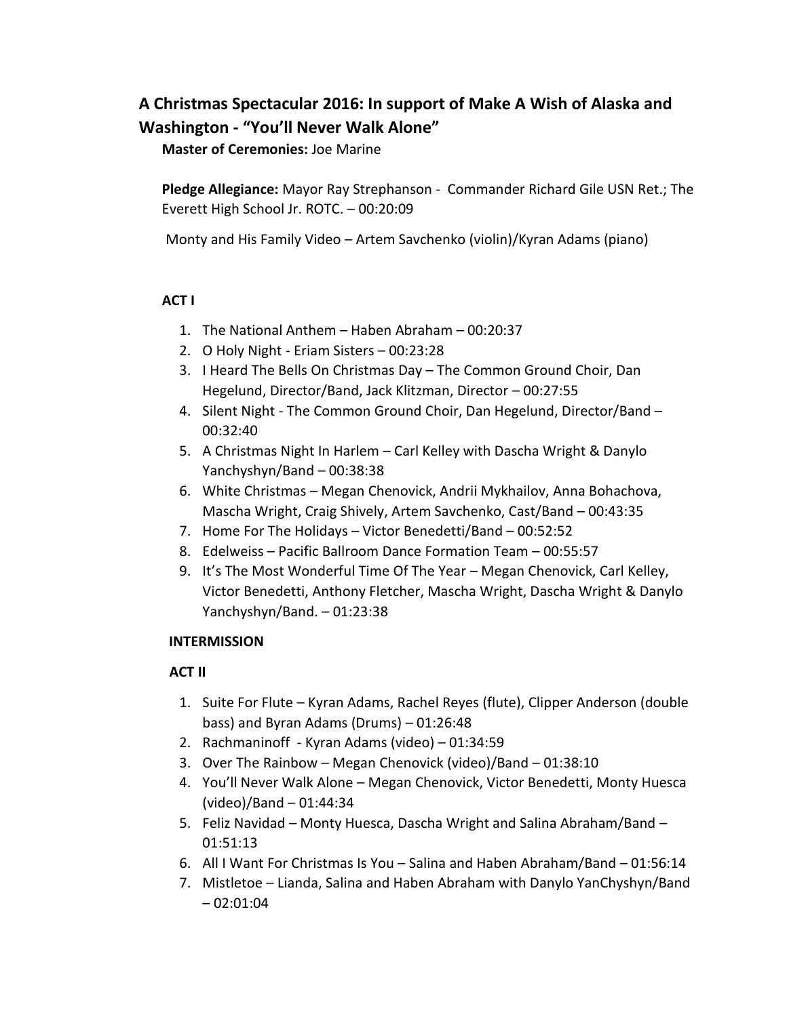## **A Christmas Spectacular 2016: In support of Make A Wish of Alaska and Washington - "You'll Never Walk Alone"**

**Master of Ceremonies:** Joe Marine

**Pledge Allegiance:** Mayor Ray Strephanson - Commander Richard Gile USN Ret.; The Everett High School Jr. ROTC. – 00:20:09

Monty and His Family Video – Artem Savchenko (violin)/Kyran Adams (piano)

## **ACT I**

- 1. The National Anthem Haben Abraham 00:20:37
- 2. O Holy Night Eriam Sisters 00:23:28
- 3. I Heard The Bells On Christmas Day The Common Ground Choir, Dan Hegelund, Director/Band, Jack Klitzman, Director – 00:27:55
- 4. Silent Night The Common Ground Choir, Dan Hegelund, Director/Band 00:32:40
- 5. A Christmas Night In Harlem Carl Kelley with Dascha Wright & Danylo Yanchyshyn/Band – 00:38:38
- 6. White Christmas Megan Chenovick, Andrii Mykhailov, Anna Bohachova, Mascha Wright, Craig Shively, Artem Savchenko, Cast/Band – 00:43:35
- 7. Home For The Holidays Victor Benedetti/Band 00:52:52
- 8. Edelweiss Pacific Ballroom Dance Formation Team 00:55:57
- 9. It's The Most Wonderful Time Of The Year Megan Chenovick, Carl Kelley, Victor Benedetti, Anthony Fletcher, Mascha Wright, Dascha Wright & Danylo Yanchyshyn/Band. – 01:23:38

## **INTERMISSION**

## **ACT II**

- 1. Suite For Flute Kyran Adams, Rachel Reyes (flute), Clipper Anderson (double bass) and Byran Adams (Drums) – 01:26:48
- 2. Rachmaninoff Kyran Adams (video) 01:34:59
- 3. Over The Rainbow Megan Chenovick (video)/Band 01:38:10
- 4. You'll Never Walk Alone Megan Chenovick, Victor Benedetti, Monty Huesca (video)/Band – 01:44:34
- 5. Feliz Navidad Monty Huesca, Dascha Wright and Salina Abraham/Band 01:51:13
- 6. All I Want For Christmas Is You Salina and Haben Abraham/Band 01:56:14
- 7. Mistletoe Lianda, Salina and Haben Abraham with Danylo YanChyshyn/Band  $-02:01:04$